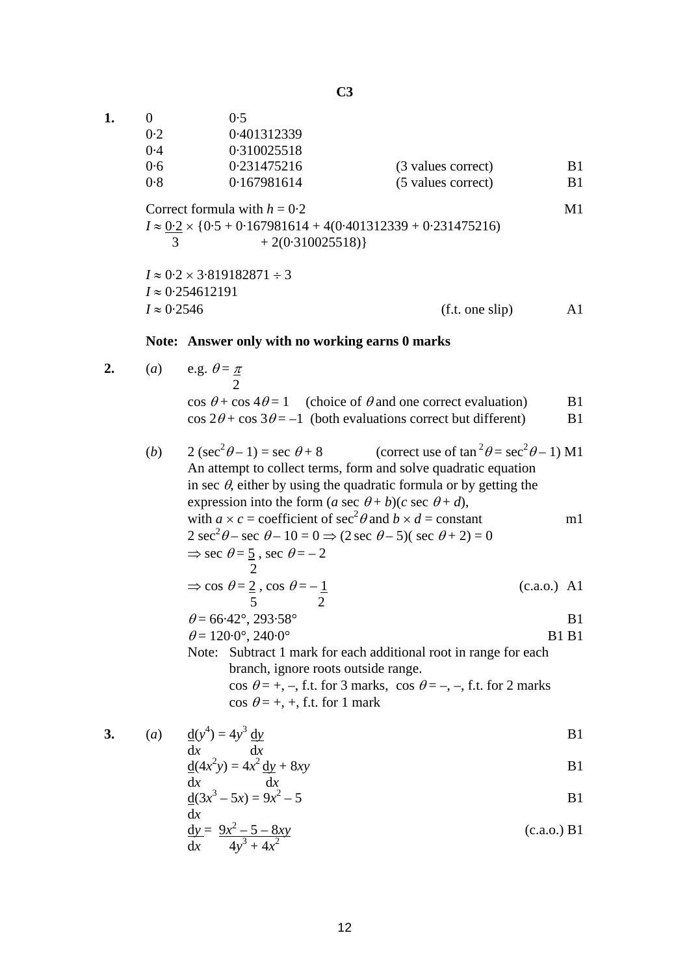|                                                                           | 0.5               |                    |                |
|---------------------------------------------------------------------------|-------------------|--------------------|----------------|
| 0.2                                                                       | 0.401312339       |                    |                |
| 0.4                                                                       | 0.310025518       |                    |                |
| 0.6                                                                       | 0.231475216       | (3 values correct) | B1             |
| 0.8                                                                       | 0.167981614       | (5 values correct) | B <sub>1</sub> |
| Correct formula with $h = 0.2$                                            |                   |                    | M <sub>1</sub> |
| $I \approx 0.2 \times \{0.5 + 0.167981614 + 4(0.401312339 + 0.231475216)$ |                   |                    |                |
|                                                                           | $+2(0.310025518)$ |                    |                |

 $I \approx 0.2 \times 3.819182871 \div 3$ *I* ≈ 0·254612191  $I \approx 0.2546$  (f.t. one slip) A1

## **Note: Answer only with no working earns 0 marks**

**2.** (*a*) e.g.  $\theta = \pi$ 

| $\cos \theta + \cos 4\theta = 1$ (choice of $\theta$ and one correct evaluation) | B1. |
|----------------------------------------------------------------------------------|-----|
| $\cos 2\theta$ + $\cos 3\theta$ = -1 (both evaluations correct but different)    | B1. |

(*b*)  $2(\sec^2 \theta - 1) = \sec \theta + 8$  (correct use of  $\tan^2 \theta = \sec^2 \theta - 1$ ) M1 An attempt to collect terms, form and solve quadratic equation in sec  $\theta$ , either by using the quadratic formula or by getting the expression into the form  $(a \sec \theta + b)(c \sec \theta + d)$ , with  $a \times c$  = coefficient of  $\sec^2 \theta$  and  $b \times d$  = constant m1 2 sec<sup>2</sup> $\theta$  – sec  $\theta$  – 10 = 0  $\Rightarrow$  (2 sec  $\theta$  – 5)( sec  $\theta$  + 2) = 0  $\Rightarrow$  sec  $\theta = 5$ , sec  $\theta = -2$  2  $\Rightarrow$  cos  $\theta = 2$ , cos  $\theta = -1$  (c.a.o.) A1  $5$  2  $\theta = 66.42^{\circ}, 293.58^{\circ}$  B1  $\theta = 120.0^{\circ}, 240.0^{\circ}$  B1 B1 Note: Subtract 1 mark for each additional root in range for each branch, ignore roots outside range. cos  $\theta = +, -$ , f.t. for 3 marks, cos  $\theta = -, -$ , f.t. for 2 marks cos  $\theta = +$ , +, f.t. for 1 mark

3. (a) 
$$
\frac{d(y^4)}{dx} = 4y^3 \frac{dy}{dx}
$$

$$
\frac{d(4x^2y)}{dx} = 4x^2 \frac{dy}{dx} + 8xy
$$

$$
\frac{d}{dx}(3x^3 - 5x) = 9x^2 - 5
$$
 B1

$$
\frac{dy}{dx} = \frac{9x^2 - 5 - 8xy}{4y^3 + 4x^2}
$$
 (c.a.o.) B1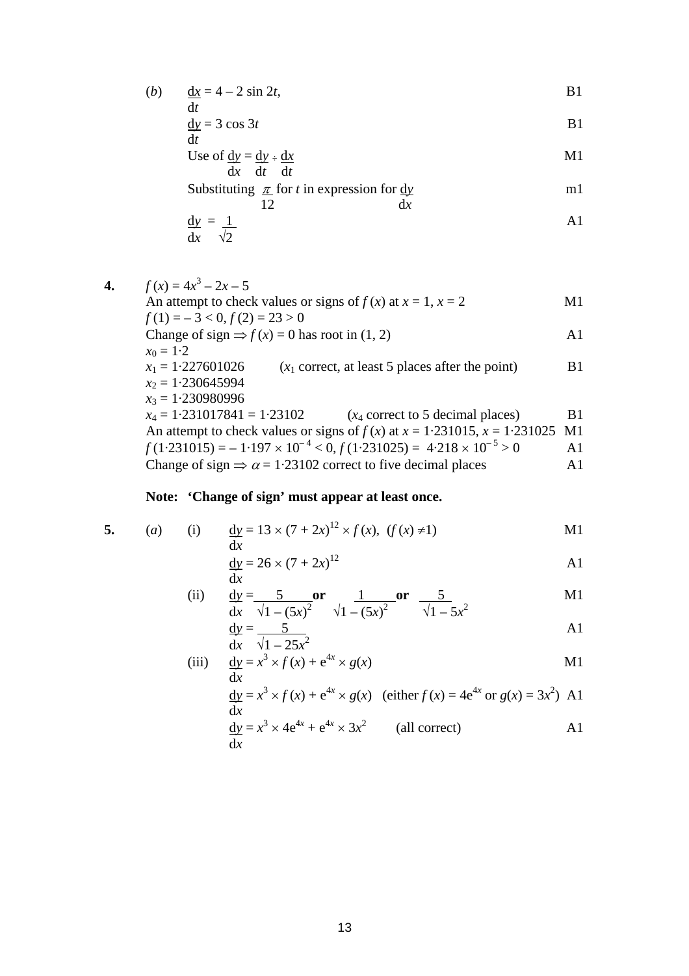(b) 
$$
\frac{dx}{dt} = 4 - 2 \sin 2t,
$$
 B1

$$
\frac{dy}{dt} = 3 \cos 3t
$$

Use of 
$$
\frac{dy}{dx} = \frac{dy}{dt} \div \frac{dx}{dt}
$$

Substituting 
$$
\frac{\pi}{12}
$$
 for *t* in expression for  $\frac{dy}{dx}$ 

$$
\frac{dy}{dx} = \frac{1}{\sqrt{2}}
$$

4. 
$$
f(x) = 4x^3 - 2x - 5
$$
  
\nAn attempt to check values or signs of  $f(x)$  at  $x = 1$ ,  $x = 2$   
\n $f(1) = -3 < 0$ ,  $f(2) = 23 > 0$   
\nChange of sign  $\Rightarrow f(x) = 0$  has root in (1, 2)  
\n $x_0 = 1.2$   
\n $x_1 = 1.227601026$  ( $x_1$  correct, at least 5 places after the point)  
\n $x_2 = 1.230645994$   
\n $x_3 = 1.230980996$   
\n $x_4 = 1.231017841 = 1.23102$  ( $x_4$  correct to 5 decimal places)  
\nAn attempt to check values or signs of  $f(x)$  at  $x = 1.231015$ ,  $x = 1.231025$  M1  
\n $f(1.231015) = -1.197 \times 10^{-4} < 0$ ,  $f(1.231025) = 4.218 \times 10^{-5} > 0$   
\nChange of sign  $\Rightarrow \alpha = 1.23102$  correct to five decimal places

## **Note: 'Change of sign' must appear at least once.**

5. (a) (i) 
$$
\frac{dy}{dx} = 13 \times (7 + 2x)^{12} \times f(x), (f(x) \neq 1)
$$
 M1

$$
\frac{dy}{dx} = 26 \times (7 + 2x)^{12}
$$
 A1

(ii) 
$$
\frac{dy}{dx} = \frac{5}{\sqrt{1 - (5x)^2}} \text{ or } \frac{1}{\sqrt{1 - (5x)^2}} \text{ or } \frac{5}{\sqrt{1 - 5x^2}}
$$
 M1

$$
\frac{dy}{dx} = \frac{5}{\sqrt{1 - 25x^2}}
$$

(iii) 
$$
\frac{dy}{dx} = x^3 \times f(x) + e^{4x} \times g(x)
$$
 M1

$$
\frac{dy}{dx} = x^3 \times f(x) + e^{4x} \times g(x)
$$
 (either  $f(x) = 4e^{4x}$  or  $g(x) = 3x^2$ ) A1

$$
\frac{dy}{dx} = x^3 \times 4e^{4x} + e^{4x} \times 3x^2
$$
 (all correct) A1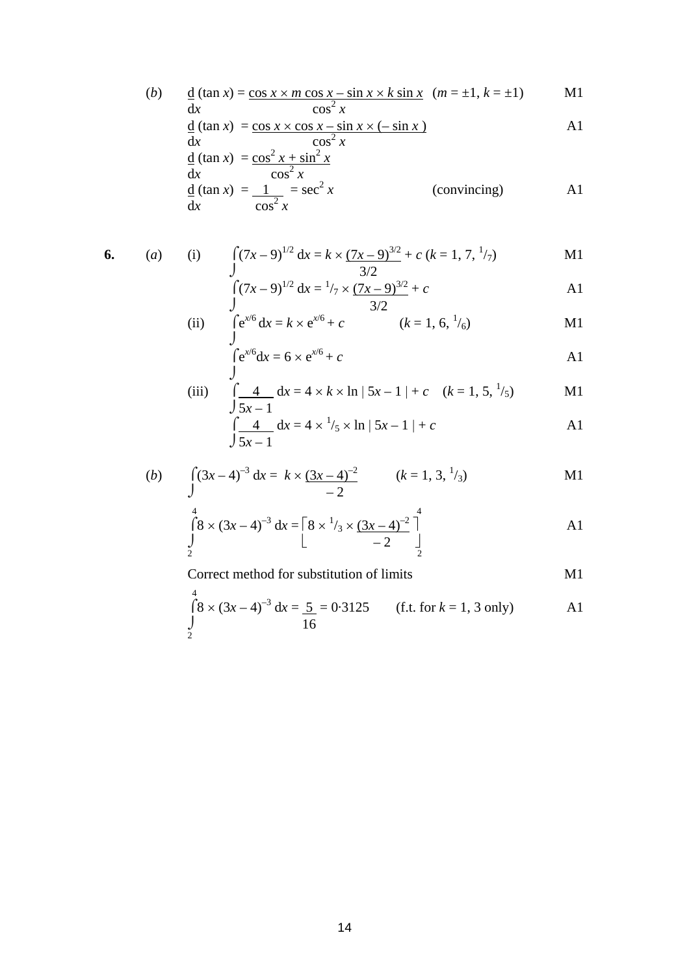(b) 
$$
\frac{d}{dx}(\tan x) = \frac{\cos x \times m \cos x - \sin x \times k \sin x}{\cos^2 x} \quad (m = \pm 1, k = \pm 1)
$$
 M1

$$
\frac{d}{dx}(\tan x) = \frac{\cos x \times \cos x - \sin x \times (-\sin x)}{\cos^2 x}
$$

$$
\frac{d}{dx}(\tan x) = \frac{\cos^2 x + \sin^2 x}{\cos^2 x}
$$
\n
$$
\frac{d}{dx}(\tan x) = \frac{1}{\cos^2 x} = \sec^2 x
$$
\n(convincing)\n
$$
A1
$$

6. (a) (i) 
$$
\int (7x-9)^{1/2} dx = k \times \frac{(7x-9)^{3/2}}{3/2} + c (k = 1, 7, \frac{1}{7})
$$
 M1

$$
\int_{J} (7x - 9)^{1/2} dx = \frac{1}{7} \times \frac{(7x - 9)^{3/2}}{3/2} + c
$$

(ii) 
$$
\int e^{x/6} dx = k \times e^{x/6} + c
$$
   
  $(k = 1, 6, \frac{1}{6})$  M1

$$
\int e^{x/6} dx = 6 \times e^{x/6} + c
$$
 A1

(iii) 
$$
\int \frac{4}{5x-1} dx = 4 \times k \times \ln |5x-1| + c \quad (k = 1, 5, \frac{1}{5})
$$
 M1

$$
\int \frac{4}{5x-1} dx = 4 \times \frac{1}{5} \times \ln |5x-1| + c
$$

(b) 
$$
\int (3x-4)^{-3} dx = k \times \underbrace{(3x-4)^{-2}}_{-2}
$$
  $(k = 1, 3, \frac{1}{3})$  M1

$$
\int_{2}^{4} 8 \times (3x - 4)^{-3} dx = \left[ 8 \times \frac{1}{3} \times \frac{(3x - 4)^{-2}}{-2} \right]_{2}^{4}
$$

Correct method for substitution of limits M1

$$
\int_{2}^{4} (8 \times (3x - 4)^{-3} dx = \frac{5}{16} = 0.3125
$$
 (f.t. for  $k = 1, 3$  only) A1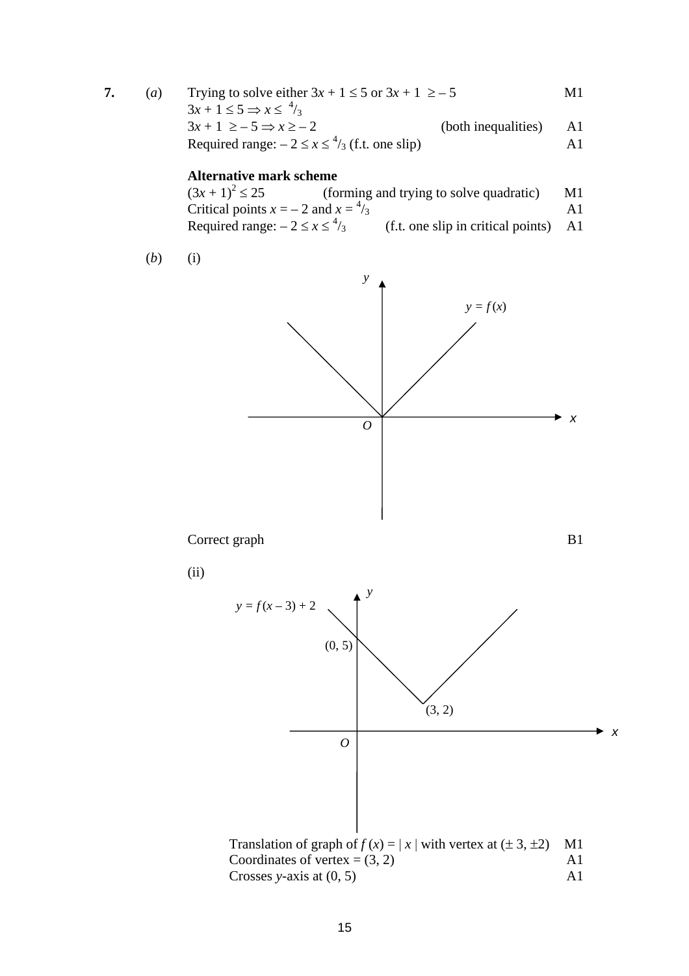**7.** (*a*) Trying to solve either  $3x + 1 \le 5$  or  $3x + 1 \ge -5$  M1  $3x + 1 \leq 5 \Rightarrow x \leq \frac{4}{3}$  $3x + 1 \ge -5 \Rightarrow x \ge -2$  (both inequalities) A1 Required range:  $-2 \le x \le \frac{4}{3}$  (f.t. one slip) A1

**Alternative mark scheme**<br> $(3x + 1)^2 \le 25$  (for (forming and trying to solve quadratic) M1 Critical points  $x = -2$  and  $x = -1$  $\lambda_3$  A1 Required range:  $-2 \le x \le \frac{4}{3}$  $(f.t. one slip in critical points)$  A1

$$
(b) \qquad (i)
$$